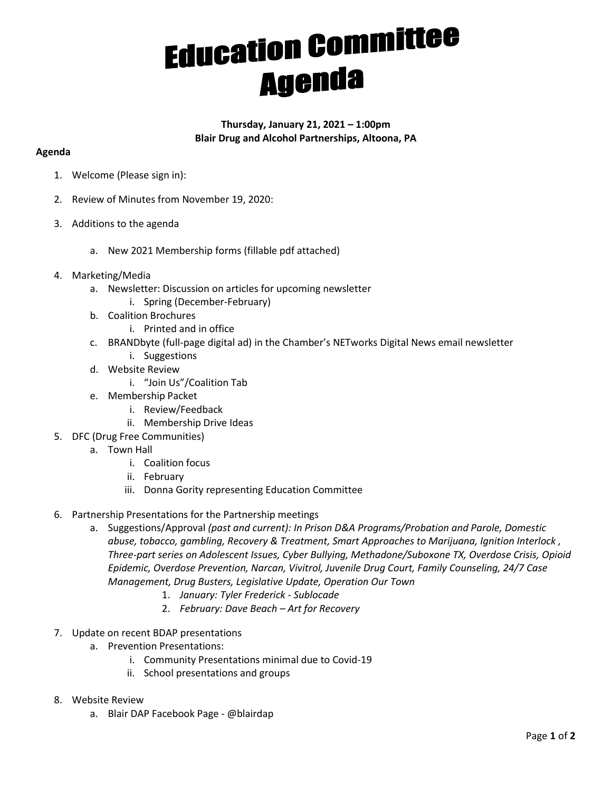## **Education Committee Agenda**

## **Thursday, January 21, 2021 – 1:00pm Blair Drug and Alcohol Partnerships, Altoona, PA**

## **Agenda**

- 1. Welcome (Please sign in):
- 2. Review of Minutes from November 19, 2020:
- 3. Additions to the agenda
	- a. New 2021 Membership forms (fillable pdf attached)
- 4. Marketing/Media
	- a. Newsletter: Discussion on articles for upcoming newsletter
		- i. Spring (December-February)
	- b. Coalition Brochures
		- i. Printed and in office
	- c. BRANDbyte (full-page digital ad) in the Chamber's NETworks Digital News email newsletter
		- i. Suggestions
	- d. Website Review
		- i. "Join Us"/Coalition Tab
	- e. Membership Packet
		- i. Review/Feedback
		- ii. Membership Drive Ideas
- 5. DFC (Drug Free Communities)
	- a. Town Hall
		- i. Coalition focus
		- ii. February
		- iii. Donna Gority representing Education Committee
- 6. Partnership Presentations for the Partnership meetings
	- a. Suggestions/Approval *(past and current): In Prison D&A Programs/Probation and Parole, Domestic abuse, tobacco, gambling, Recovery & Treatment, Smart Approaches to Marijuana, Ignition Interlock , Three-part series on Adolescent Issues, Cyber Bullying, Methadone/Suboxone TX, Overdose Crisis, Opioid Epidemic, Overdose Prevention, Narcan, Vivitrol, Juvenile Drug Court, Family Counseling, 24/7 Case Management, Drug Busters, Legislative Update, Operation Our Town*
		- 1. *January: Tyler Frederick - Sublocade*
		- 2. *February: Dave Beach – Art for Recovery*
- 7. Update on recent BDAP presentations
	- a. Prevention Presentations:
		- i. Community Presentations minimal due to Covid-19
		- ii. School presentations and groups
- 8. Website Review
	- a. Blair DAP Facebook Page @blairdap